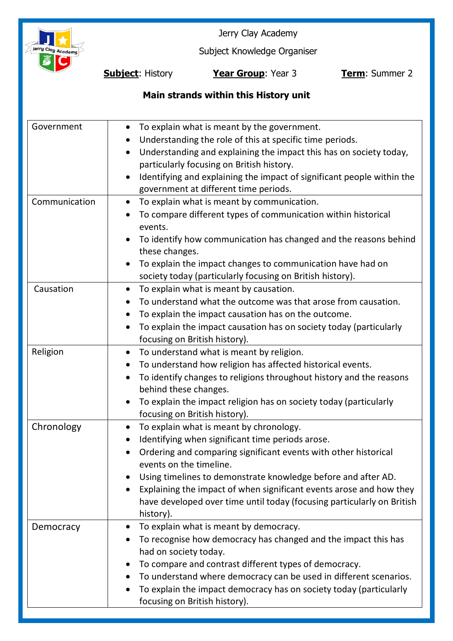

Jerry Clay Academy

Subject Knowledge Organiser

**Subject**: History **Year Group**: Year 3 **Term**: Summer 2

## **Main strands within this History unit**

| Government    | To explain what is meant by the government.<br>$\bullet$<br>Understanding the role of this at specific time periods.<br>Understanding and explaining the impact this has on society today,<br>$\bullet$<br>particularly focusing on British history.<br>Identifying and explaining the impact of significant people within the<br>government at different time periods.                                                                            |
|---------------|----------------------------------------------------------------------------------------------------------------------------------------------------------------------------------------------------------------------------------------------------------------------------------------------------------------------------------------------------------------------------------------------------------------------------------------------------|
| Communication | To explain what is meant by communication.<br>$\bullet$<br>To compare different types of communication within historical<br>events.<br>To identify how communication has changed and the reasons behind<br>these changes.<br>To explain the impact changes to communication have had on<br>society today (particularly focusing on British history).                                                                                               |
| Causation     | To explain what is meant by causation.<br>$\bullet$<br>To understand what the outcome was that arose from causation.<br>$\bullet$<br>To explain the impact causation has on the outcome.<br>To explain the impact causation has on society today (particularly<br>focusing on British history).                                                                                                                                                    |
| Religion      | To understand what is meant by religion.<br>$\bullet$<br>To understand how religion has affected historical events.<br>To identify changes to religions throughout history and the reasons<br>behind these changes.<br>To explain the impact religion has on society today (particularly<br>$\bullet$<br>focusing on British history).                                                                                                             |
| Chronology    | To explain what is meant by chronology.<br>$\bullet$<br>Identifying when significant time periods arose.<br>Ordering and comparing significant events with other historical<br>$\bullet$<br>events on the timeline.<br>Using timelines to demonstrate knowledge before and after AD.<br>Explaining the impact of when significant events arose and how they<br>have developed over time until today (focusing particularly on British<br>history). |
| Democracy     | To explain what is meant by democracy.<br>To recognise how democracy has changed and the impact this has<br>had on society today.<br>To compare and contrast different types of democracy.<br>To understand where democracy can be used in different scenarios.<br>To explain the impact democracy has on society today (particularly<br>$\bullet$<br>focusing on British history).                                                                |